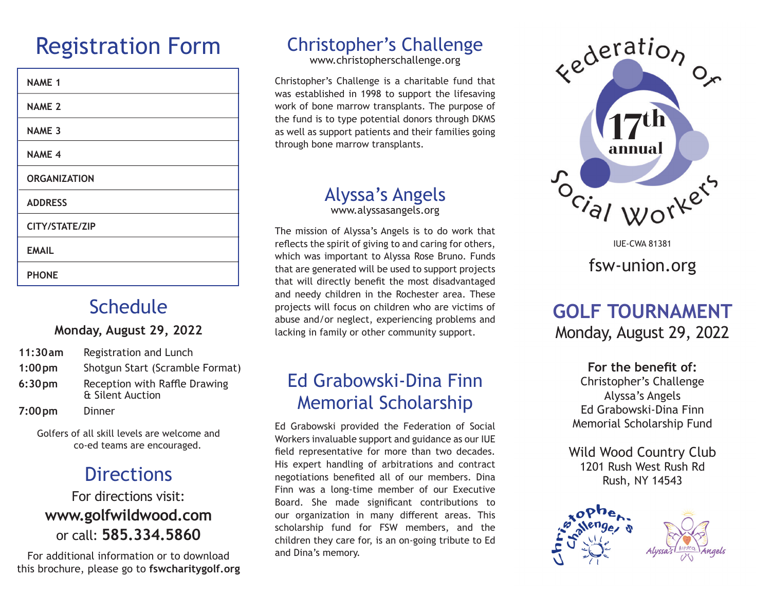# Registration Form

| <b>NAME 1</b>       |
|---------------------|
| <b>NAME 2</b>       |
| <b>NAME 3</b>       |
| <b>NAME 4</b>       |
| <b>ORGANIZATION</b> |
| <b>ADDRESS</b>      |
| CITY/STATE/ZIP      |
| <b>EMAIL</b>        |
| <b>PHONE</b>        |

### **Schedule**

#### **Monday, August 29, 2022**

| 11:30am            | Registration and Lunch                            |
|--------------------|---------------------------------------------------|
| $1:00 \text{ pm}$  | Shotgun Start (Scramble Format)                   |
| 6:30 <sub>pm</sub> | Reception with Raffle Drawing<br>& Silent Auction |
| $7:00 \text{ pm}$  | Dinner                                            |

Golfers of all skill levels are welcome and co-ed teams are encouraged.

## **Directions**

#### For directions visit: **www.golfwildwood.com** or call: **585.334.5860**

For additional information or to download this brochure, please go to **fswcharitygolf.org**

## Christopher's Challenge

www.christopherschallenge.org

Christopher's Challenge is a charitable fund that was established in 1998 to support the lifesaving work of bone marrow transplants. The purpose of the fund is to type potential donors through DKMS as well as support patients and their families going through bone marrow transplants.

### Alyssa's Angels

www.alyssasangels.org

The mission of Alyssa's Angels is to do work that reflects the spirit of giving to and caring for others, which was important to Alyssa Rose Bruno. Funds that are generated will be used to support projects that will directly benefit the most disadvantaged and needy children in the Rochester area. These projects will focus on children who are victims of abuse and/or neglect, experiencing problems and lacking in family or other community support.

### Ed Grabowski-Dina Finn Memorial Scholarship

Ed Grabowski provided the Federation of Social Workers invaluable support and guidance as our IUE field representative for more than two decades. His expert handling of arbitrations and contract negotiations benefited all of our members. Dina Finn was a long-time member of our Executive Board. She made significant contributions to our organization in many different areas. This scholarship fund for FSW members, and the children they care for, is an on-going tribute to Ed and Dina's memory.



fsw-union.org IUE-CWA 81381

### **GOLF TOURNAMENT** Monday, August 29, 2022

**For the benefit of:** Christopher's Challenge Alyssa's Angels Ed Grabowski-Dina Finn

Memorial Scholarship Fund

Wild Wood Country Club 1201 Rush West Rush Rd Rush, NY 14543